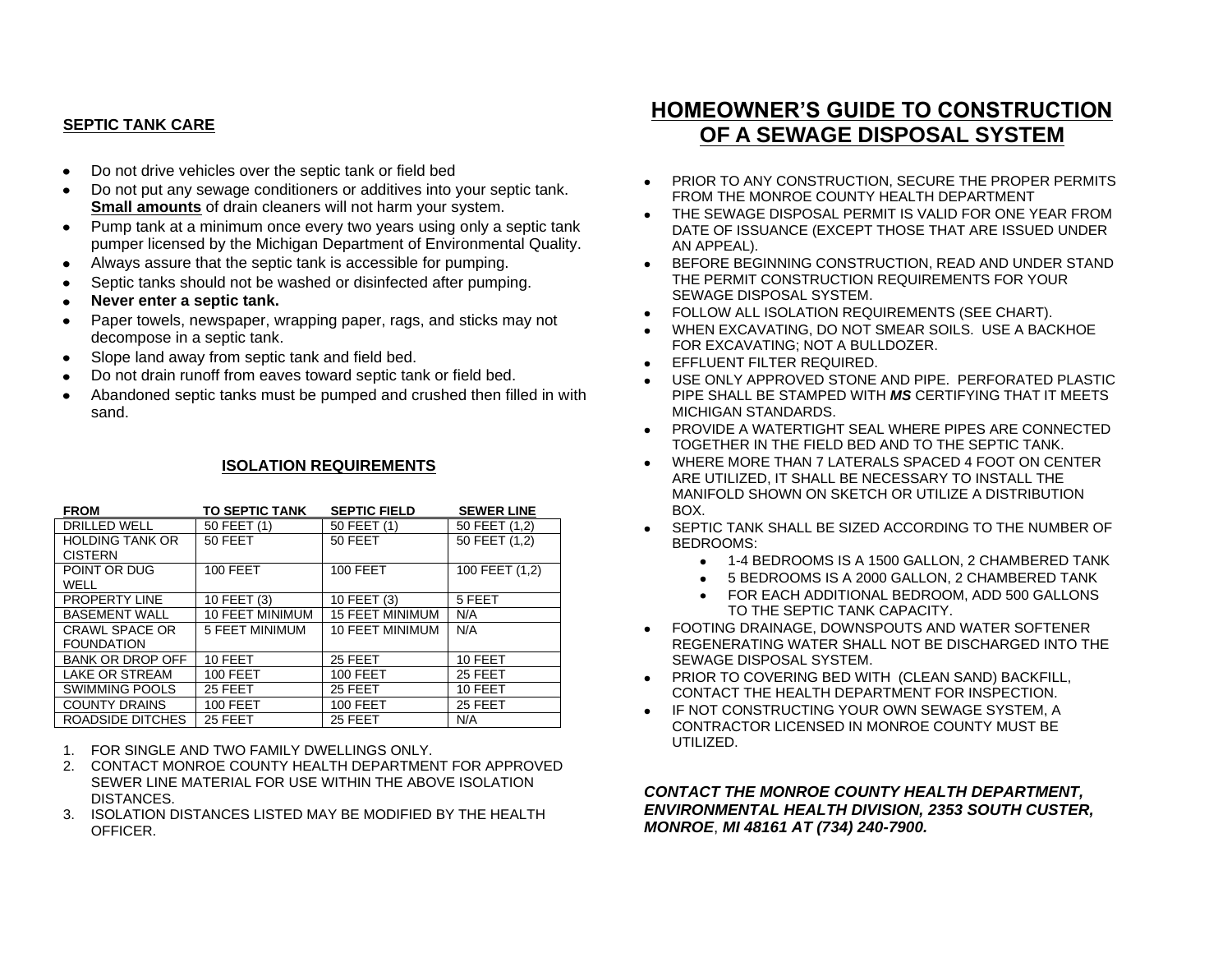## **SEPTIC TANK CARE**

- Do not drive vehicles over the septic tank or field bed  $\bullet$
- Do not put any sewage conditioners or additives into your septic tank.  $\bullet$ **Small amounts** of drain cleaners will not harm your system.
- Pump tank at a minimum once every two years using only a septic tank  $\bullet$ pumper licensed by the Michigan Department of Environmental Quality.
- Always assure that the septic tank is accessible for pumping.
- Septic tanks should not be washed or disinfected after pumping.
- **Never enter a septic tank.**
- Paper towels, newspaper, wrapping paper, rags, and sticks may not decompose in a septic tank.
- Slope land away from septic tank and field bed.
- Do not drain runoff from eaves toward septic tank or field bed.  $\bullet$
- Abandoned septic tanks must be pumped and crushed then filled in with sand.

## **ISOLATION REQUIREMENTS**

| <b>FROM</b>             | <b>TO SEPTIC TANK</b>  | <b>SEPTIC FIELD</b>    | <b>SEWER LINE</b> |
|-------------------------|------------------------|------------------------|-------------------|
| <b>DRILLED WELL</b>     | 50 FEET (1)            | 50 FEET (1)            | 50 FEET (1.2)     |
| <b>HOLDING TANK OR</b>  | 50 FEET                | 50 FEET                | 50 FEET (1,2)     |
| <b>CISTERN</b>          |                        |                        |                   |
| POINT OR DUG            | <b>100 FEET</b>        | <b>100 FEET</b>        | 100 FEET (1,2)    |
| WELL                    |                        |                        |                   |
| <b>PROPERTY LINE</b>    | 10 FEET (3)            | 10 FEET (3)            | 5 FEET            |
| <b>BASEMENT WALL</b>    | <b>10 FEET MINIMUM</b> | <b>15 FEET MINIMUM</b> | N/A               |
| <b>CRAWL SPACE OR</b>   | 5 FEET MINIMUM         | <b>10 FEET MINIMUM</b> | N/A               |
| <b>FOUNDATION</b>       |                        |                        |                   |
| <b>BANK OR DROP OFF</b> | 10 FEET                | 25 FEET                | 10 FEET           |
| LAKE OR STREAM          | 100 FEET               | <b>100 FEET</b>        | 25 FEET           |
| <b>SWIMMING POOLS</b>   | 25 FEET                | 25 FEET                | 10 FEET           |
| <b>COUNTY DRAINS</b>    | <b>100 FEET</b>        | <b>100 FEET</b>        | 25 FEET           |
| ROADSIDE DITCHES        | 25 FEET                | 25 FEET                | N/A               |

- 1. FOR SINGLE AND TWO FAMILY DWELLINGS ONLY.
- 2. CONTACT MONROE COUNTY HEALTH DEPARTMENT FOR APPROVED SEWER LINE MATERIAL FOR USE WITHIN THE ABOVE ISOLATION DISTANCES.
- 3. ISOLATION DISTANCES LISTED MAY BE MODIFIED BY THE HEALTH OFFICER.

## **HOMEOWNER'S GUIDE TO CONSTRUCTION OF A SEWAGE DISPOSAL SYSTEM**

- PRIOR TO ANY CONSTRUCTION, SECURE THE PROPER PERMITS FROM THE MONROE COUNTY HEALTH DEPARTMENT
- THE SEWAGE DISPOSAL PERMIT IS VALID FOR ONE YEAR FROM DATE OF ISSUANCE (EXCEPT THOSE THAT ARE ISSUED UNDER AN APPEAL).
- BEFORE BEGINNING CONSTRUCTION, READ AND UNDER STAND THE PERMIT CONSTRUCTION REQUIREMENTS FOR YOUR SEWAGE DISPOSAL SYSTEM.
- FOLLOW ALL ISOLATION REQUIREMENTS (SEE CHART).
- WHEN EXCAVATING, DO NOT SMEAR SOILS. USE A BACKHOE FOR EXCAVATING; NOT A BULLDOZER.
- **EFFLUENT FILTER REQUIRED.**
- USE ONLY APPROVED STONE AND PIPE. PERFORATED PLASTIC PIPE SHALL BE STAMPED WITH *MS* CERTIFYING THAT IT MEETS MICHIGAN STANDARDS.
- PROVIDE A WATERTIGHT SEAL WHERE PIPES ARE CONNECTED TOGETHER IN THE FIELD BED AND TO THE SEPTIC TANK.
- WHERE MORE THAN 7 LATERALS SPACED 4 FOOT ON CENTER ARE UTILIZED, IT SHALL BE NECESSARY TO INSTALL THE MANIFOLD SHOWN ON SKETCH OR UTILIZE A DISTRIBUTION BOX.
- **SEPTIC TANK SHALL BE SIZED ACCORDING TO THE NUMBER OF** BEDROOMS:
	- 1-4 BEDROOMS IS A 1500 GALLON, 2 CHAMBERED TANK
	- 5 BEDROOMS IS A 2000 GALLON, 2 CHAMBERED TANK
	- FOR EACH ADDITIONAL BEDROOM, ADD 500 GALLONS TO THE SEPTIC TANK CAPACITY.
- FOOTING DRAINAGE, DOWNSPOUTS AND WATER SOFTENER REGENERATING WATER SHALL NOT BE DISCHARGED INTO THE SEWAGE DISPOSAL SYSTEM.
- PRIOR TO COVERING BED WITH (CLEAN SAND) BACKFILL, CONTACT THE HEALTH DEPARTMENT FOR INSPECTION.
- IF NOT CONSTRUCTING YOUR OWN SEWAGE SYSTEM, A CONTRACTOR LICENSED IN MONROE COUNTY MUST BE UTILIZED.

*CONTACT THE MONROE COUNTY HEALTH DEPARTMENT, ENVIRONMENTAL HEALTH DIVISION, 2353 SOUTH CUSTER, MONROE*, *MI 48161 AT (734) 240-7900.*